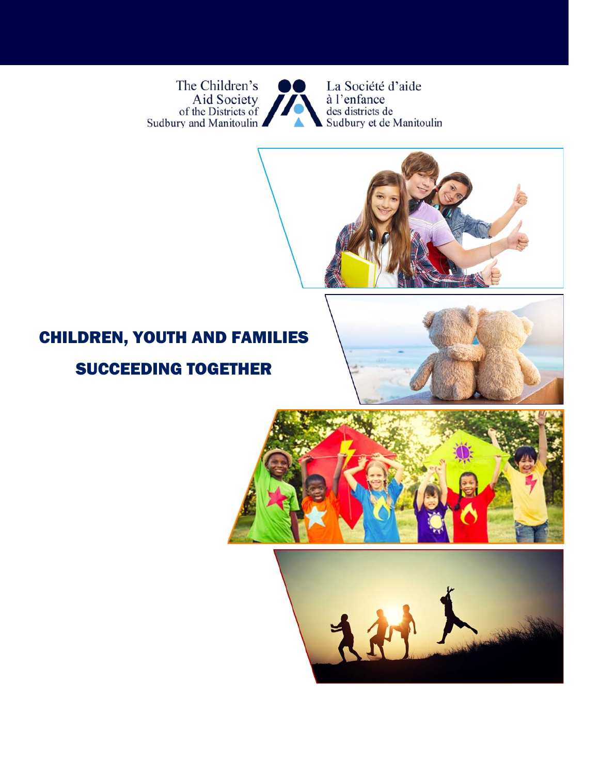The Children's Aid Society<br>of the Districts of<br>Sudbury and Manitoulin



La Société d'aide à l'enfance<br>des districts de<br>Sudbury et de Manitoulin



# CHILDREN, YOUTH AND FAMILIES

## SUCCEEDING TOGETHER





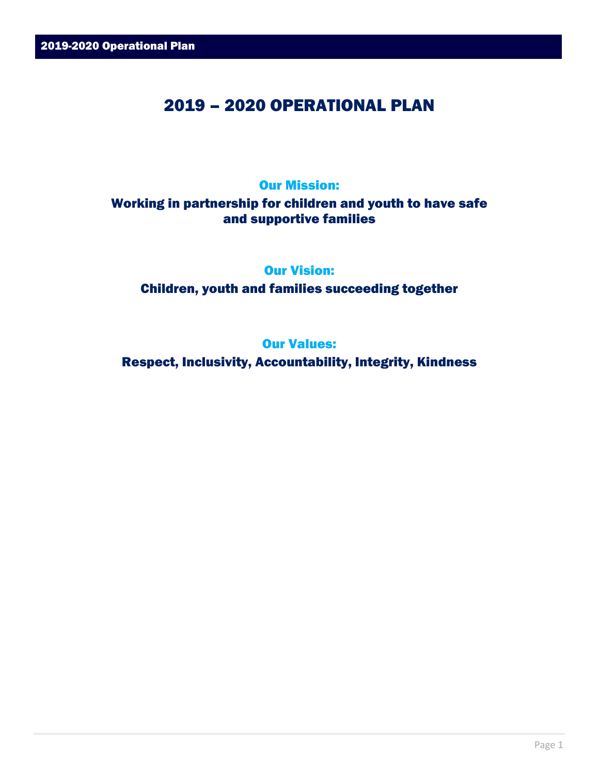### 2019 – 2020 OPERATIONAL PLAN

#### Our Mission:

#### Working in partnership for children and youth to have safe and supportive families

Our Vision:

Children, youth and families succeeding together

Our Values:

Respect, Inclusivity, Accountability, Integrity, Kindness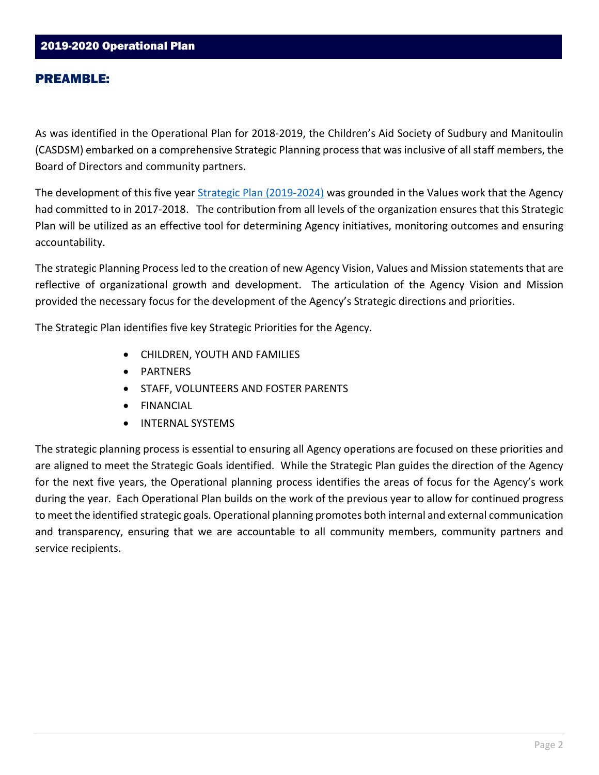As was identified in the Operational Plan for 2018-2019, the Children's Aid Society of Sudbury and Manitoulin (CASDSM) embarked on a comprehensive Strategic Planning process that was inclusive of all staff members, the Board of Directors and community partners.

The development of this five year [Strategic Plan \(2019-2024\)](http://www.casdsm.on.ca/wp-content/uploads/2019/10/Strategic-Plan-FINAL-EN.pdf) was grounded in the Values work that the Agency had committed to in 2017-2018. The contribution from all levels of the organization ensures that this Strategic Plan will be utilized as an effective tool for determining Agency initiatives, monitoring outcomes and ensuring accountability.

The strategic Planning Process led to the creation of new Agency Vision, Values and Mission statements that are reflective of organizational growth and development. The articulation of the Agency Vision and Mission provided the necessary focus for the development of the Agency's Strategic directions and priorities.

The Strategic Plan identifies five key Strategic Priorities for the Agency.

- CHILDREN, YOUTH AND FAMILIES
- PARTNERS
- STAFF, VOLUNTEERS AND FOSTER PARENTS
- FINANCIAL
- INTERNAL SYSTEMS

The strategic planning process is essential to ensuring all Agency operations are focused on these priorities and are aligned to meet the Strategic Goals identified. While the Strategic Plan guides the direction of the Agency for the next five years, the Operational planning process identifies the areas of focus for the Agency's work during the year. Each Operational Plan builds on the work of the previous year to allow for continued progress to meet the identified strategic goals. Operational planning promotes both internal and external communication and transparency, ensuring that we are accountable to all community members, community partners and service recipients.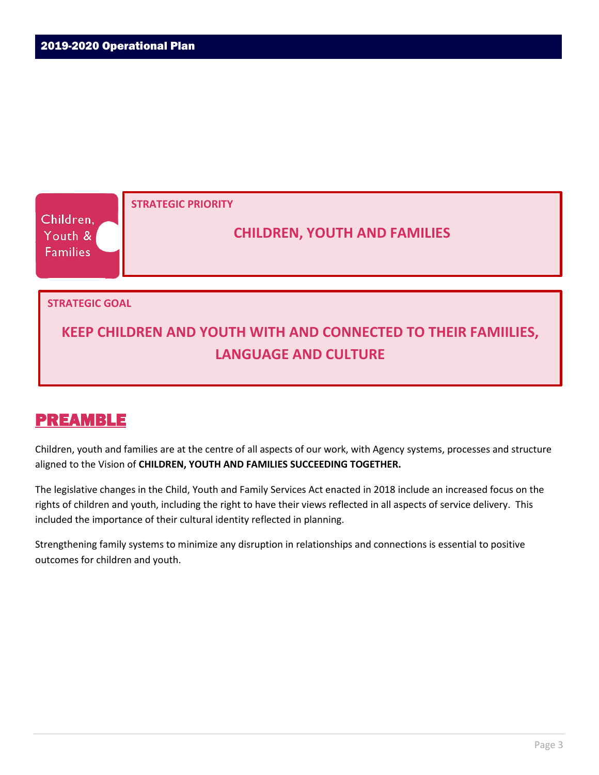

Children, youth and families are at the centre of all aspects of our work, with Agency systems, processes and structure aligned to the Vision of **CHILDREN, YOUTH AND FAMILIES SUCCEEDING TOGETHER.** 

The legislative changes in the Child, Youth and Family Services Act enacted in 2018 include an increased focus on the rights of children and youth, including the right to have their views reflected in all aspects of service delivery. This included the importance of their cultural identity reflected in planning.

Strengthening family systems to minimize any disruption in relationships and connections is essential to positive outcomes for children and youth.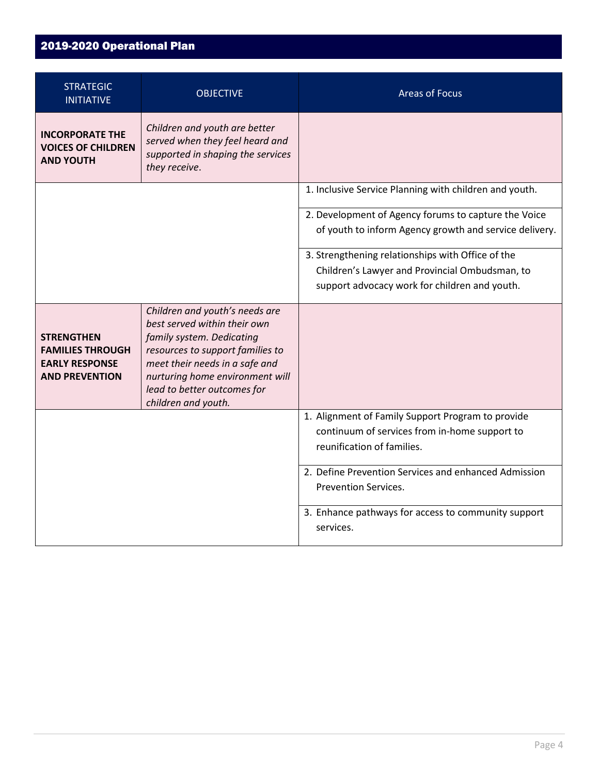| <b>STRATEGIC</b><br><b>INITIATIVE</b>                                                          | <b>OBJECTIVE</b>                                                                                                                                                                                                                                           | <b>Areas of Focus</b>                                                                                                                                                    |
|------------------------------------------------------------------------------------------------|------------------------------------------------------------------------------------------------------------------------------------------------------------------------------------------------------------------------------------------------------------|--------------------------------------------------------------------------------------------------------------------------------------------------------------------------|
| <b>INCORPORATE THE</b><br><b>VOICES OF CHILDREN</b><br><b>AND YOUTH</b>                        | Children and youth are better<br>served when they feel heard and<br>supported in shaping the services<br>they receive.                                                                                                                                     |                                                                                                                                                                          |
|                                                                                                |                                                                                                                                                                                                                                                            | 1. Inclusive Service Planning with children and youth.<br>2. Development of Agency forums to capture the Voice<br>of youth to inform Agency growth and service delivery. |
|                                                                                                |                                                                                                                                                                                                                                                            | 3. Strengthening relationships with Office of the<br>Children's Lawyer and Provincial Ombudsman, to<br>support advocacy work for children and youth.                     |
| <b>STRENGTHEN</b><br><b>FAMILIES THROUGH</b><br><b>EARLY RESPONSE</b><br><b>AND PREVENTION</b> | Children and youth's needs are<br>best served within their own<br>family system. Dedicating<br>resources to support families to<br>meet their needs in a safe and<br>nurturing home environment will<br>lead to better outcomes for<br>children and youth. |                                                                                                                                                                          |
|                                                                                                |                                                                                                                                                                                                                                                            | 1. Alignment of Family Support Program to provide<br>continuum of services from in-home support to<br>reunification of families.                                         |
|                                                                                                |                                                                                                                                                                                                                                                            | 2. Define Prevention Services and enhanced Admission<br><b>Prevention Services.</b>                                                                                      |
|                                                                                                |                                                                                                                                                                                                                                                            | 3. Enhance pathways for access to community support<br>services.                                                                                                         |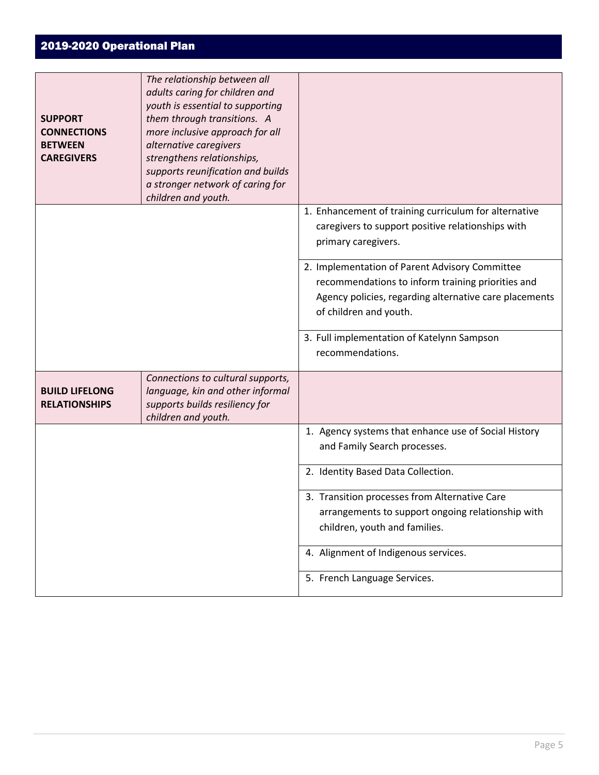| <b>SUPPORT</b><br><b>CONNECTIONS</b><br><b>BETWEEN</b><br><b>CAREGIVERS</b> | The relationship between all<br>adults caring for children and<br>youth is essential to supporting<br>them through transitions. A<br>more inclusive approach for all<br>alternative caregivers<br>strengthens relationships,<br>supports reunification and builds<br>a stronger network of caring for<br>children and youth. |                                                                                                                                                                                         |
|-----------------------------------------------------------------------------|------------------------------------------------------------------------------------------------------------------------------------------------------------------------------------------------------------------------------------------------------------------------------------------------------------------------------|-----------------------------------------------------------------------------------------------------------------------------------------------------------------------------------------|
|                                                                             |                                                                                                                                                                                                                                                                                                                              | 1. Enhancement of training curriculum for alternative<br>caregivers to support positive relationships with<br>primary caregivers.                                                       |
|                                                                             |                                                                                                                                                                                                                                                                                                                              | 2. Implementation of Parent Advisory Committee<br>recommendations to inform training priorities and<br>Agency policies, regarding alternative care placements<br>of children and youth. |
|                                                                             |                                                                                                                                                                                                                                                                                                                              | 3. Full implementation of Katelynn Sampson<br>recommendations.                                                                                                                          |
| <b>BUILD LIFELONG</b><br><b>RELATIONSHIPS</b>                               | Connections to cultural supports,<br>language, kin and other informal<br>supports builds resiliency for<br>children and youth.                                                                                                                                                                                               |                                                                                                                                                                                         |
|                                                                             |                                                                                                                                                                                                                                                                                                                              | 1. Agency systems that enhance use of Social History<br>and Family Search processes.                                                                                                    |
|                                                                             |                                                                                                                                                                                                                                                                                                                              | 2. Identity Based Data Collection.                                                                                                                                                      |
|                                                                             |                                                                                                                                                                                                                                                                                                                              | 3. Transition processes from Alternative Care<br>arrangements to support ongoing relationship with<br>children, youth and families.                                                     |
|                                                                             |                                                                                                                                                                                                                                                                                                                              | 4. Alignment of Indigenous services.<br>5. French Language Services.                                                                                                                    |
|                                                                             |                                                                                                                                                                                                                                                                                                                              |                                                                                                                                                                                         |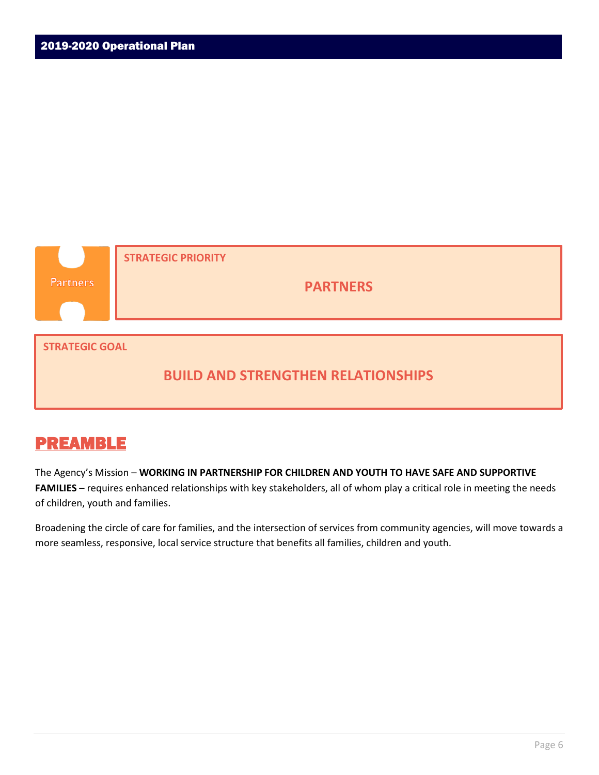

#### **BUILD AND STRENGTHEN RELATIONSHIPS**

### PREAMBLE

The Agency's Mission – **WORKING IN PARTNERSHIP FOR CHILDREN AND YOUTH TO HAVE SAFE AND SUPPORTIVE FAMILIES** – requires enhanced relationships with key stakeholders, all of whom play a critical role in meeting the needs of children, youth and families.

Broadening the circle of care for families, and the intersection of services from community agencies, will move towards a more seamless, responsive, local service structure that benefits all families, children and youth.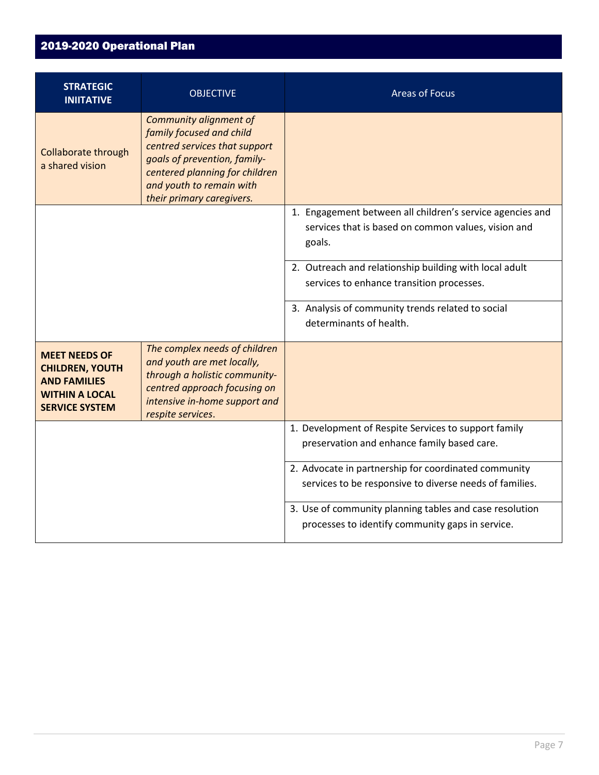| <b>STRATEGIC</b><br><b>INIITATIVE</b>                                                                                   | <b>OBJECTIVE</b>                                                                                                                                                                                               | <b>Areas of Focus</b>                                                                                                      |
|-------------------------------------------------------------------------------------------------------------------------|----------------------------------------------------------------------------------------------------------------------------------------------------------------------------------------------------------------|----------------------------------------------------------------------------------------------------------------------------|
| Collaborate through<br>a shared vision                                                                                  | Community alignment of<br>family focused and child<br>centred services that support<br>goals of prevention, family-<br>centered planning for children<br>and youth to remain with<br>their primary caregivers. |                                                                                                                            |
|                                                                                                                         |                                                                                                                                                                                                                | 1. Engagement between all children's service agencies and<br>services that is based on common values, vision and<br>goals. |
|                                                                                                                         |                                                                                                                                                                                                                | 2. Outreach and relationship building with local adult<br>services to enhance transition processes.                        |
|                                                                                                                         |                                                                                                                                                                                                                | 3. Analysis of community trends related to social<br>determinants of health.                                               |
| <b>MEET NEEDS OF</b><br><b>CHILDREN, YOUTH</b><br><b>AND FAMILIES</b><br><b>WITHIN A LOCAL</b><br><b>SERVICE SYSTEM</b> | The complex needs of children<br>and youth are met locally,<br>through a holistic community-<br>centred approach focusing on<br>intensive in-home support and<br>respite services.                             |                                                                                                                            |
|                                                                                                                         |                                                                                                                                                                                                                | 1. Development of Respite Services to support family<br>preservation and enhance family based care.                        |
|                                                                                                                         |                                                                                                                                                                                                                | 2. Advocate in partnership for coordinated community<br>services to be responsive to diverse needs of families.            |
|                                                                                                                         |                                                                                                                                                                                                                | 3. Use of community planning tables and case resolution<br>processes to identify community gaps in service.                |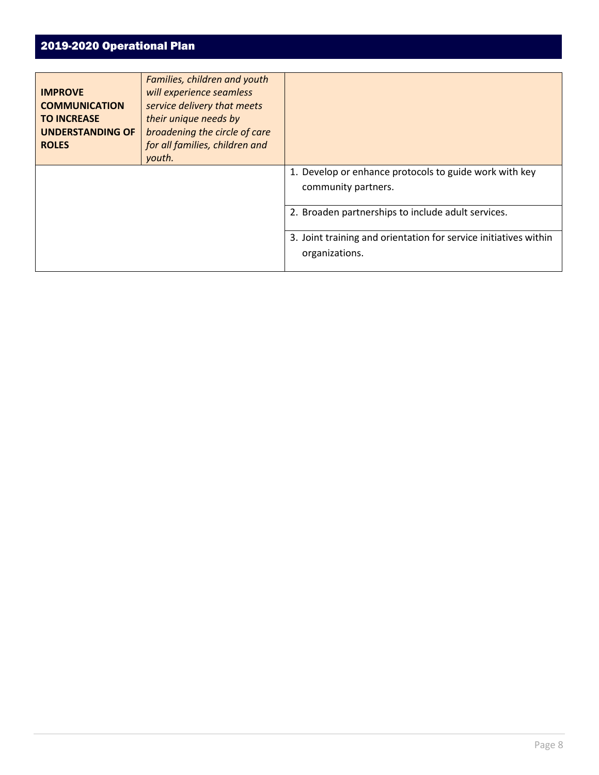| <b>IMPROVE</b><br><b>COMMUNICATION</b><br><b>TO INCREASE</b><br><b>UNDERSTANDING OF</b><br><b>ROLES</b> | Families, children and youth<br>will experience seamless<br>service delivery that meets<br>their unique needs by<br>broadening the circle of care<br>for all families, children and<br>youth. |                                                                                    |
|---------------------------------------------------------------------------------------------------------|-----------------------------------------------------------------------------------------------------------------------------------------------------------------------------------------------|------------------------------------------------------------------------------------|
|                                                                                                         |                                                                                                                                                                                               | 1. Develop or enhance protocols to guide work with key<br>community partners.      |
|                                                                                                         |                                                                                                                                                                                               | 2. Broaden partnerships to include adult services.                                 |
|                                                                                                         |                                                                                                                                                                                               | 3. Joint training and orientation for service initiatives within<br>organizations. |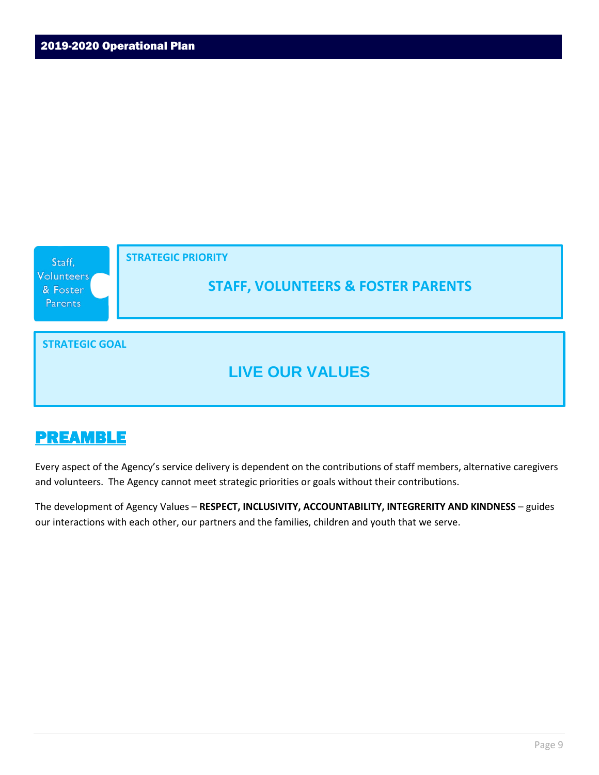

Every aspect of the Agency's service delivery is dependent on the contributions of staff members, alternative caregivers and volunteers. The Agency cannot meet strategic priorities or goals without their contributions.

The development of Agency Values – **RESPECT, INCLUSIVITY, ACCOUNTABILITY, INTEGRERITY AND KINDNESS** – guides our interactions with each other, our partners and the families, children and youth that we serve.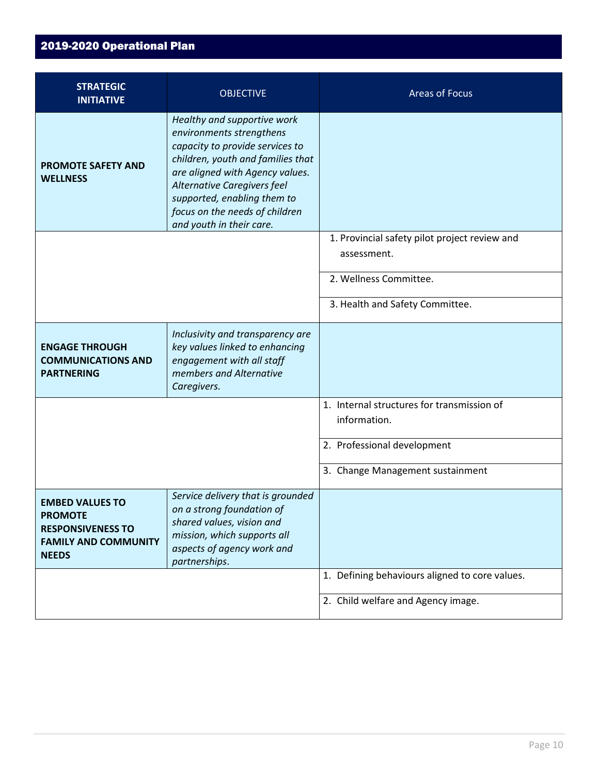| <b>STRATEGIC</b><br><b>INITIATIVE</b>                                                                               | <b>OBJECTIVE</b>                                                                                                                                                                                                                                                                               | <b>Areas of Focus</b>                                        |
|---------------------------------------------------------------------------------------------------------------------|------------------------------------------------------------------------------------------------------------------------------------------------------------------------------------------------------------------------------------------------------------------------------------------------|--------------------------------------------------------------|
| <b>PROMOTE SAFETY AND</b><br><b>WELLNESS</b>                                                                        | Healthy and supportive work<br>environments strengthens<br>capacity to provide services to<br>children, youth and families that<br>are aligned with Agency values.<br>Alternative Caregivers feel<br>supported, enabling them to<br>focus on the needs of children<br>and youth in their care. |                                                              |
|                                                                                                                     |                                                                                                                                                                                                                                                                                                | 1. Provincial safety pilot project review and<br>assessment. |
|                                                                                                                     |                                                                                                                                                                                                                                                                                                | 2. Wellness Committee.                                       |
|                                                                                                                     |                                                                                                                                                                                                                                                                                                | 3. Health and Safety Committee.                              |
| <b>ENGAGE THROUGH</b><br><b>COMMUNICATIONS AND</b><br><b>PARTNERING</b>                                             | Inclusivity and transparency are<br>key values linked to enhancing<br>engagement with all staff<br>members and Alternative<br>Caregivers.                                                                                                                                                      |                                                              |
|                                                                                                                     |                                                                                                                                                                                                                                                                                                | 1. Internal structures for transmission of<br>information.   |
|                                                                                                                     |                                                                                                                                                                                                                                                                                                | 2. Professional development                                  |
|                                                                                                                     |                                                                                                                                                                                                                                                                                                | 3. Change Management sustainment                             |
| <b>EMBED VALUES TO</b><br><b>PROMOTE</b><br><b>RESPONSIVENESS TO</b><br><b>FAMILY AND COMMUNITY</b><br><b>NEEDS</b> | Service delivery that is grounded<br>on a strong foundation of<br>shared values, vision and<br>mission, which supports all<br>aspects of agency work and<br>partnerships.                                                                                                                      |                                                              |
|                                                                                                                     |                                                                                                                                                                                                                                                                                                | 1. Defining behaviours aligned to core values.               |
|                                                                                                                     |                                                                                                                                                                                                                                                                                                | 2. Child welfare and Agency image.                           |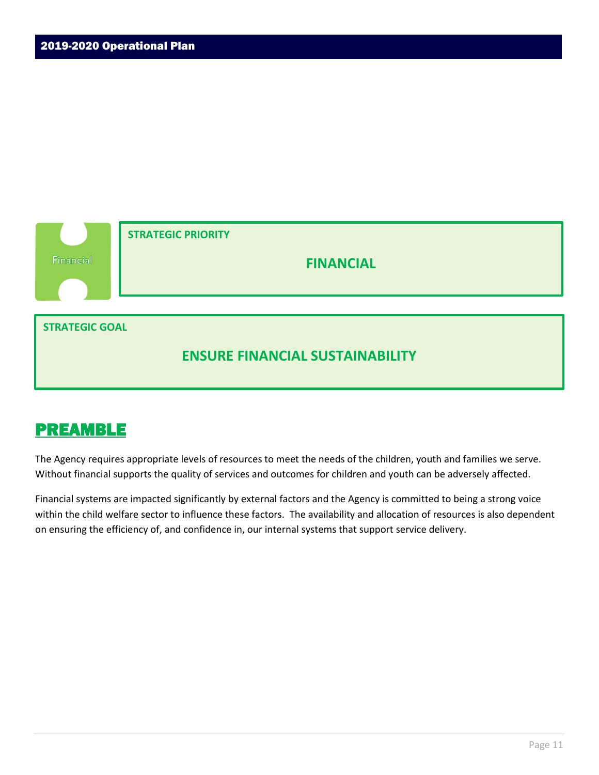

The Agency requires appropriate levels of resources to meet the needs of the children, youth and families we serve. Without financial supports the quality of services and outcomes for children and youth can be adversely affected.

Financial systems are impacted significantly by external factors and the Agency is committed to being a strong voice within the child welfare sector to influence these factors. The availability and allocation of resources is also dependent on ensuring the efficiency of, and confidence in, our internal systems that support service delivery.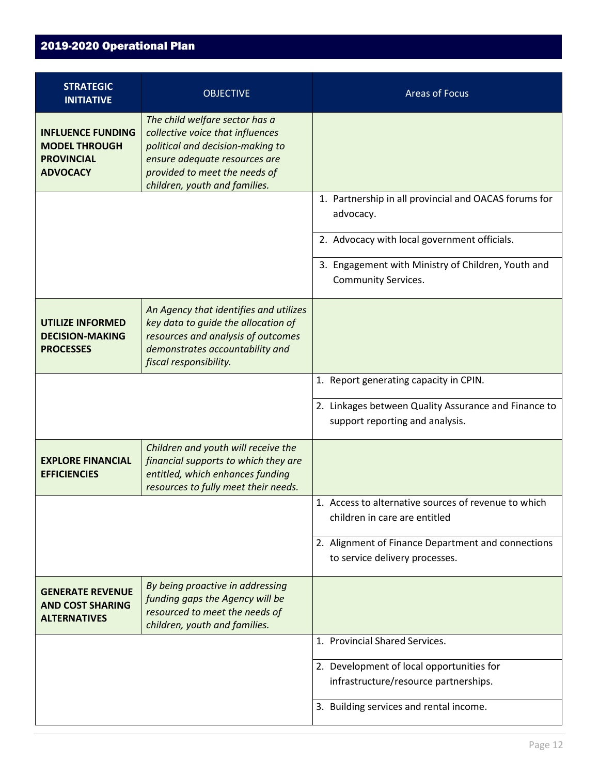| <b>STRATEGIC</b><br><b>INITIATIVE</b>                                                    | <b>OBJECTIVE</b>                                                                                                                                                                                          | <b>Areas of Focus</b>                                                                   |
|------------------------------------------------------------------------------------------|-----------------------------------------------------------------------------------------------------------------------------------------------------------------------------------------------------------|-----------------------------------------------------------------------------------------|
| <b>INFLUENCE FUNDING</b><br><b>MODEL THROUGH</b><br><b>PROVINCIAL</b><br><b>ADVOCACY</b> | The child welfare sector has a<br>collective voice that influences<br>political and decision-making to<br>ensure adequate resources are<br>provided to meet the needs of<br>children, youth and families. |                                                                                         |
|                                                                                          |                                                                                                                                                                                                           | 1. Partnership in all provincial and OACAS forums for<br>advocacy.                      |
|                                                                                          |                                                                                                                                                                                                           | 2. Advocacy with local government officials.                                            |
|                                                                                          |                                                                                                                                                                                                           | 3. Engagement with Ministry of Children, Youth and<br><b>Community Services.</b>        |
| <b>UTILIZE INFORMED</b><br><b>DECISION-MAKING</b><br><b>PROCESSES</b>                    | An Agency that identifies and utilizes<br>key data to guide the allocation of<br>resources and analysis of outcomes<br>demonstrates accountability and<br>fiscal responsibility.                          |                                                                                         |
|                                                                                          |                                                                                                                                                                                                           | 1. Report generating capacity in CPIN.                                                  |
|                                                                                          |                                                                                                                                                                                                           | 2. Linkages between Quality Assurance and Finance to<br>support reporting and analysis. |
| <b>EXPLORE FINANCIAL</b><br><b>EFFICIENCIES</b>                                          | Children and youth will receive the<br>financial supports to which they are<br>entitled, which enhances funding<br>resources to fully meet their needs.                                                   |                                                                                         |
|                                                                                          |                                                                                                                                                                                                           | 1. Access to alternative sources of revenue to which<br>children in care are entitled   |
|                                                                                          |                                                                                                                                                                                                           | 2. Alignment of Finance Department and connections<br>to service delivery processes.    |
| <b>GENERATE REVENUE</b><br><b>AND COST SHARING</b><br><b>ALTERNATIVES</b>                | By being proactive in addressing<br>funding gaps the Agency will be<br>resourced to meet the needs of<br>children, youth and families.                                                                    |                                                                                         |
|                                                                                          |                                                                                                                                                                                                           | 1. Provincial Shared Services.                                                          |
|                                                                                          |                                                                                                                                                                                                           | 2. Development of local opportunities for<br>infrastructure/resource partnerships.      |
|                                                                                          |                                                                                                                                                                                                           | 3. Building services and rental income.                                                 |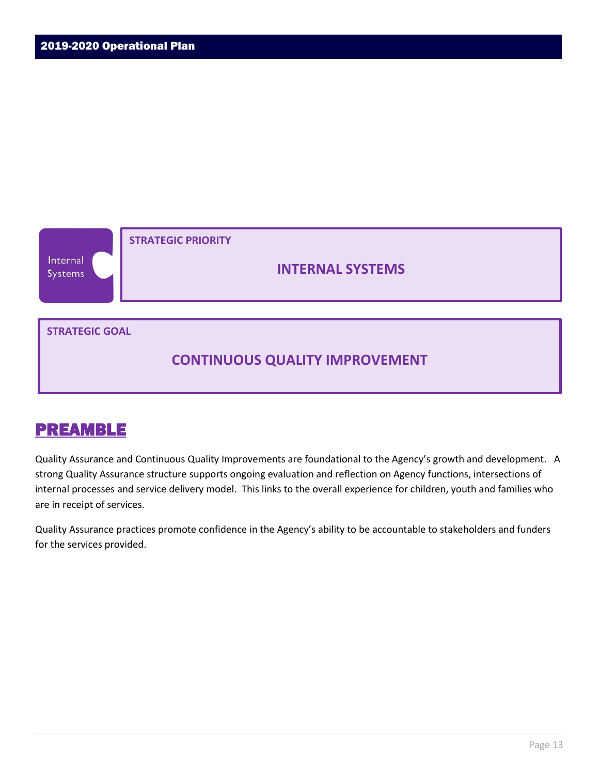

Quality Assurance and Continuous Quality Improvements are foundational to the Agency's growth and development. A strong Quality Assurance structure supports ongoing evaluation and reflection on Agency functions, intersections of internal processes and service delivery model. This links to the overall experience for children, youth and families who are in receipt of services.

Quality Assurance practices promote confidence in the Agency's ability to be accountable to stakeholders and funders for the services provided.